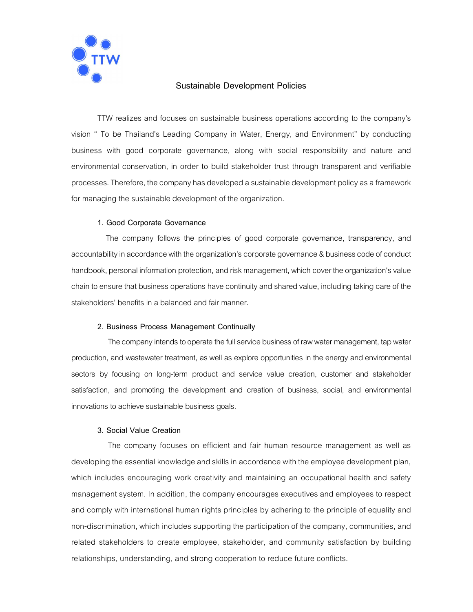

# Sustainable Development Policies

TTW realizes and focuses on sustainable business operations according to the company's vision " To be Thailand's Leading Company in Water, Energy, and Environment" by conducting business with good corporate governance, along with social responsibility and nature and environmental conservation, in order to build stakeholder trust through transparent and verifiable processes. Therefore, the company has developed a sustainable development policy as a framework for managing the sustainable development of the organization.

### 1. Good Corporate Governance

 The company follows the principles of good corporate governance, transparency, and accountability in accordance with the organization's corporate governance & business code of conduct handbook, personal information protection, and risk management, which cover the organization's value chain to ensure that business operations have continuity and shared value, including taking care of the stakeholders' benefits in a balanced and fair manner.

### 2. Business Process Management Continually

 The company intends to operate the full service business of raw water management, tap water production, and wastewater treatment, as well as explore opportunities in the energy and environmental sectors by focusing on long-term product and service value creation, customer and stakeholder satisfaction, and promoting the development and creation of business, social, and environmental innovations to achieve sustainable business goals.

### 3. Social Value Creation

 The company focuses on efficient and fair human resource management as well as developing the essential knowledge and skills in accordance with the employee development plan, which includes encouraging work creativity and maintaining an occupational health and safety management system. In addition, the company encourages executives and employees to respect and comply with international human rights principles by adhering to the principle of equality and non-discrimination, which includes supporting the participation of the company, communities, and related stakeholders to create employee, stakeholder, and community satisfaction by building relationships, understanding, and strong cooperation to reduce future conflicts.